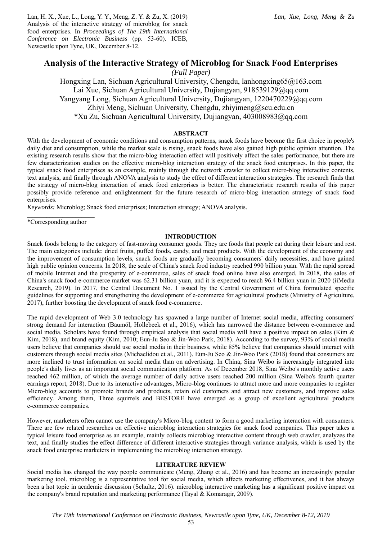Lan, H. X., Xue, L., Long, Y. Y., Meng, Z. Y. & Zu, X. (2019) Analysis of the interactive strategy of microblog for snack food enterprises. In *Proceedings of The 19th International Conference on Electronic Business* (pp. 53-60). ICEB, Newcastle upon Tyne, UK, December 8-12.

# **Analysis of the Interactive Strategy of Microblog for Snack Food Enterprises**

*(Full Paper)* 

Hongxing Lan, Sichuan Agricultural University, Chengdu, lanhongxing65@163.com Lai Xue, Sichuan Agricultural University, Dujiangyan, 918539129@qq.com Yangyang Long, Sichuan Agricultural University, Dujiangyan, 1220470229@qq.com Zhiyi Meng, Sichuan University, Chengdu, zhiyimeng@scu.edu.cn \*Xu Zu, Sichuan Agricultural University, Dujiangyan, 403008983@qq.com

# **ABSTRACT**

With the development of economic conditions and consumption patterns, snack foods have become the first choice in people's daily diet and consumption, while the market scale is rising, snack foods have also gained high public opinion attention. The existing research results show that the micro-blog interaction effect will positively affect the sales performance, but there are few characterization studies on the effective micro-blog interaction strategy of the snack food enterprises. In this paper, the typical snack food enterprises as an example, mainly through the network crawler to collect micro-blog interactive contents, text analysis, and finally through ANOVA analysis to study the effect of different interaction strategies. The research finds that the strategy of micro-blog interaction of snack food enterprises is better. The characteristic research results of this paper possibly provide reference and enlightenment for the future research of micro-blog interaction strategy of snack food enterprises.

*Keywords:* Microblog; Snack food enterprises; Interaction strategy; ANOVA analysis.

 $\mathcal{L}=\mathcal{L}^{\mathcal{L}}$  , where  $\mathcal{L}^{\mathcal{L}}$  , we have the set of  $\mathcal{L}^{\mathcal{L}}$ \*Corresponding author

## **INTRODUCTION**

Snack foods belong to the category of fast-moving consumer goods. They are foods that people eat during their leisure and rest. The main categories include: dried fruits, puffed foods, candy, and meat products. With the development of the economy and the improvement of consumption levels, snack foods are gradually becoming consumers' daily necessities, and have gained high public opinion concerns. In 2018, the scale of China's snack food industry reached 990 billion yuan. With the rapid spread of mobile Internet and the prosperity of e-commerce, sales of snack food online have also emerged. In 2018, the sales of China's snack food e-commerce market was 62.31 billion yuan, and it is expected to reach 96.4 billion yuan in 2020 (iiMedia Research, 2019). In 2017, the Central Document No. 1 issued by the Central Government of China formulated specific guidelines for supporting and strengthening the development of e-commerce for agricultural products (Ministry of Agriculture, 2017), further boosting the development of snack food e-commerce.

The rapid development of Web 3.0 technology has spawned a large number of Internet social media, affecting consumers' strong demand for interaction (Baumöl, Hollebeek et al., 2016), which has narrowed the distance between e-commerce and social media. Scholars have found through empirical analysis that social media will have a positive impact on sales (Kim  $\&$ Kim, 2018), and brand equity (Kim, 2010; Eun-Ju Seo & Jin-Woo Park, 2018). According to the survey, 93% of social media users believe that companies should use social media in their business, while 85% believe that companies should interact with customers through social media sites (Michaelidou et al., 2011). Eun-Ju Seo & Jin-Woo Park (2018) found that consumers are more inclined to trust information on social media than on advertising. In China, Sina Weibo is increasingly integrated into people's daily lives as an important social communication platform. As of December 2018, Sina Weibo's monthly active users reached 462 million, of which the average number of daily active users reached 200 million (Sina Weibo's fourth quarter earnings report, 2018). Due to its interactive advantages, Micro-blog continues to attract more and more companies to register Micro-blog accounts to promote brands and products, retain old customers and attract new customers, and improve sales efficiency. Among them, Three squirrels and BESTORE have emerged as a group of excellent agricultural products e-commerce companies.

However, marketers often cannot use the company's Micro-blog content to form a good marketing interaction with consumers. There are few related researches on effective microblog interaction strategies for snack food companies. This paper takes a typical leisure food enterprise as an example, mainly collects microblog interactive content through web crawler, analyzes the text, and finally studies the effect difference of different interactive strategies through variance analysis, which is used by the snack food enterprise marketers in implementing the microblog interaction strategy.

## **LITERATURE REVIEW**

Social media has changed the way people communicate (Meng, Zhang et al., 2016) and has become an increasingly popular marketing tool. microblog is a representative tool for social media, which affects marketing effectivenes, and it has always been a hot topic in academic discussion (Schultz, 2016). microblog interactive marketing has a significant positive impact on the company's brand reputation and marketing performance (Tayal & Komaragir, 2009).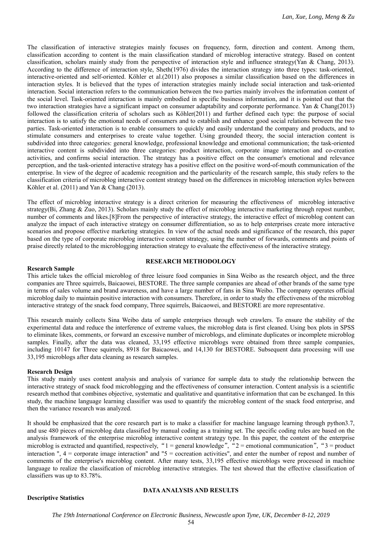The classification of interactive strategies mainly focuses on frequency, form, direction and content. Among them, classification according to content is the main classification standard of microblog interactive strategy. Based on content classification, scholars mainly study from the perspective of interaction style and influence strategy(Yan & Chang, 2013). According to the difference of interaction style, Sheth(1976) divides the interaction strategy into three types: task-oriented, interactive-oriented and self-oriented. Köhler et al.(2011) also proposes a similar classification based on the differences in interaction styles. It is believed that the types of interaction strategies mainly include social interaction and task-oriented interaction. Social interaction refers to the communication between the two parties mainly involves the information content of the social level. Task-oriented interaction is mainly embodied in specific business information, and it is pointed out that the two interaction strategies have a significant impact on consumer adaptability and corporate performance. Yan & Chang(2013) followed the classification criteria of scholars such as Köhler(2011) and further defined each type: the purpose of social interaction is to satisfy the emotional needs of consumers and to establish and enhance good social relations between the two parties. Task-oriented interaction is to enable consumers to quickly and easily understand the company and products, and to stimulate consumers and enterprises to create value together. Using grounded theory, the social interaction content is subdivided into three categories: general knowledge, professional knowledge and emotional communication; the task-oriented interactive content is subdivided into three categories: product interaction, corporate image interaction and co-creation activities, and confirms social interaction. The strategy has a positive effect on the consumer's emotional and relevance perception, and the task-oriented interactive strategy has a positive effect on the positive word-of-mouth communication of the enterprise. In view of the degree of academic recognition and the particularity of the research sample, this study refers to the classification criteria of microblog interactive content strategy based on the differences in microblog interaction styles between Köhler et al. (2011) and Yan & Chang (2013).

The effect of microblog interactive strategy is a direct criterion for measuring the effectiveness of microblog interactive strategy(Bi, Zhang & Zuo, 2013). Scholars mainly study the effect of microblog interactive marketing through repost number, number of comments and likes.[8]From the perspective of interactive strategy, the interactive effect of microblog content can analyze the impact of each interactive strategy on consumer differentiation, so as to help enterprises create more interactive scenarios and propose effective marketing strategies. In view of the actual needs and significance of the research, this paper based on the type of corporate microblog interactive content strategy, using the number of forwards, comments and points of praise directly related to the microblogging interaction strategy to evaluate the effectiveness of the interactive strategy.

## **RESEARCH METHODOLOGY**

### **Research Sample**

This article takes the official microblog of three leisure food companies in Sina Weibo as the research object, and the three companies are Three squirrels, Baicaowei, BESTORE. The three sample companies are ahead of other brands of the same type in terms of sales volume and brand awareness, and have a large number of fans in Sina Weibo. The company operates official microblog daily to maintain positive interaction with consumers. Therefore, in order to study the effectiveness of the microblog interactive strategy of the snack food company, Three squirrels, Baicaowei, and BESTORE are more representative.

This research mainly collects Sina Weibo data of sample enterprises through web crawlers. To ensure the stability of the experimental data and reduce the interference of extreme values, the microblog data is first cleaned. Using box plots in SPSS to eliminate likes, comments, or forward an excessive number of microblogs, and eliminate duplicates or incomplete microblog samples. Finally, after the data was cleaned, 33,195 effective microblogs were obtained from three sample companies, including 10147 for Three squirrels, 8918 for Baicaowei, and 14,130 for BESTORE. Subsequent data processing will use 33,195 microblogs after data cleaning as research samples.

## **Research Design**

This study mainly uses content analysis and analysis of variance for sample data to study the relationship between the interactive strategy of snack food microblogging and the effectiveness of consumer interaction. Content analysis is a scientific research method that combines objective, systematic and qualitative and quantitative information that can be exchanged. In this study, the machine language learning classifier was used to quantify the microblog content of the snack food enterprise, and then the variance research was analyzed.

It should be emphasized that the core research part is to make a classifier for machine language learning through python3.7, and use 480 pieces of microblog data classified by manual coding as a training set. The specific coding rules are based on the analysis framework of the enterprise microblog interactive content strategy type. In this paper, the content of the enterprise microblog is extracted and quantified, respectively, " $1 =$  general knowledge", " $2 =$  emotional communication", " $3 =$  product interaction ",  $4 =$  corporate image interaction" and " $5 =$  cocreation activities", and enter the number of repost and number of comments of the enterprise's microblog content. After many tests, 33,195 effective microblogs were processed in machine language to realize the classification of microblog interactive strategies. The test showed that the effective classification of classifiers was up to 83.78%.

## **Descriptive Statistics**

## **DATA ANALYSIS AND RESULTS**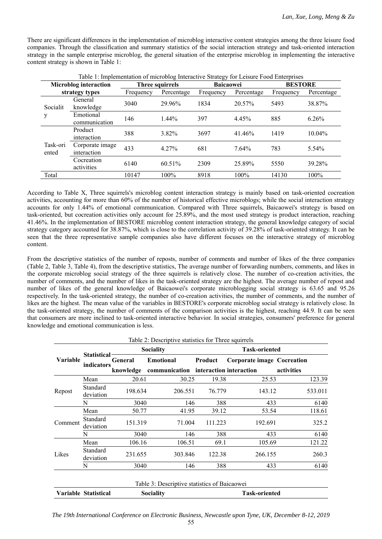There are significant differences in the implementation of microblog interactive content strategies among the three leisure food companies. Through the classification and summary statistics of the social interaction strategy and task-oriented interaction strategy in the sample enterprise microblog, the general situation of the enterprise microblog in implementing the interactive content strategy is shown in Table 1:

|                              | Table 1: Implementation of microblog Interactive Strategy for Leisure Food Enterprises |                 |            |                  |            |                |            |  |  |
|------------------------------|----------------------------------------------------------------------------------------|-----------------|------------|------------------|------------|----------------|------------|--|--|
| <b>Microblog</b> interaction |                                                                                        | Three squirrels |            | <b>Baicaowei</b> |            | <b>BESTORE</b> |            |  |  |
|                              | strategy types                                                                         | Frequency       | Percentage | Frequency        | Percentage | Frequency      | Percentage |  |  |
| Socialit<br>у                | General<br>knowledge                                                                   | 3040            | 29.96%     | 1834             | 20.57%     | 5493           | 38.87%     |  |  |
|                              | Emotional<br>communication                                                             | 146             | $1.44\%$   | 397              | 4.45%      | 885            | 6.26%      |  |  |
| Task-ori<br>ented            | Product<br>interaction                                                                 | 388             | 3.82%      | 3697             | 41.46%     | 1419           | $10.04\%$  |  |  |
|                              | Corporate image<br>interaction                                                         | 433             | 4.27%      | 681              | 7.64%      | 783            | 5.54%      |  |  |
|                              | Cocreation<br>activities                                                               | 6140            | 60.51%     | 2309             | 25.89%     | 5550           | 39.28%     |  |  |
| Total                        |                                                                                        | 10147           | $100\%$    | 8918             | $100\%$    | 14130          | 100%       |  |  |

According to Table X, Three squirrels's microblog content interaction strategy is mainly based on task-oriented cocreation activities, accounting for more than 60% of the number of historical effective microblogs; while the social interaction strategy accounts for only 1.44% of emotional communication. Compared with Three squirrels, Baicaowei's strategy is based on task-oriented, but cocreation activities only account for 25.89%, and the most used strategy is product interaction, reaching 41.46%. In the implementation of BESTORE microblog content interaction strategy, the general knowledge category of social strategy category accounted for 38.87%, which is close to the correlation activity of 39.28% of task-oriented strategy. It can be seen that the three representative sample companies also have different focuses on the interactive strategy of microblog content.

From the descriptive statistics of the number of reposts, number of comments and number of likes of the three companies (Table 2, Table 3, Table 4), from the descriptive statistics, The average number of forwarding numbers, comments, and likes in the corporate microblog social strategy of the three squirrels is relatively close. The number of co-creation activities, the number of comments, and the number of likes in the task-oriented strategy are the highest. The average number of repost and number of likes of the general knowledge of Baicaowei's corporate microblogging social strategy is 63.65 and 95.26 respectively. In the task-oriented strategy, the number of co-creation activities, the number of comments, and the number of likes are the highest. The mean value of the variables in BESTORE's corporate microblog social strategy is relatively close. In the task-oriented strategy, the number of comments of the comparison activities is the highest, reaching 44.9. It can be seen that consumers are more inclined to task-oriented interactive behavior. In social strategies, consumers' preference for general knowledge and emotional communication is less.

|          |                                  |           | Table 2: Descriptive statistics for Three squirrels |                      |                            |            |  |
|----------|----------------------------------|-----------|-----------------------------------------------------|----------------------|----------------------------|------------|--|
|          |                                  |           | <b>Sociality</b>                                    | <b>Task-oriented</b> |                            |            |  |
| Variable | <b>Statistical</b><br>indicators | General   | <b>Emotional</b>                                    | Product              | Corporate image Cocreation |            |  |
|          |                                  | knowledge | communication interaction interaction               |                      |                            | activities |  |
| Repost   | Mean                             | 20.61     | 30.25                                               | 19.38                | 25.53                      | 123.39     |  |
|          | Standard<br>deviation            | 198.634   | 206.551                                             | 76.779               | 143.12                     | 533.011    |  |
|          | N                                | 3040      | 146                                                 | 388                  | 433                        | 6140       |  |
|          | Mean                             | 50.77     | 41.95                                               | 39.12                | 53.54                      | 118.61     |  |
| Comment  | Standard<br>deviation            | 151.319   | 71.004                                              | 111.223              | 192.691                    | 325.2      |  |
|          | N                                | 3040      | 146                                                 | 388                  | 433                        | 6140       |  |
|          | Mean                             | 106.16    | 106.51                                              | 69.1                 | 105.69                     | 121.22     |  |
| Likes    | Standard<br>deviation            | 231.655   | 303.846                                             | 122.38               | 266.155                    | 260.3      |  |
|          | N                                | 3040      | 146                                                 | 388                  | 433                        | 6140       |  |
|          |                                  |           | Table 3: Descriptive statistics of Baicaowei        |                      |                            |            |  |
|          | Variable Statistical             |           | Sociality                                           |                      | <b>Task-oriented</b>       |            |  |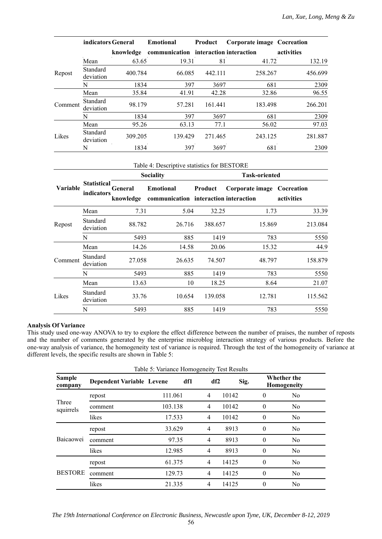|         | indicators General    |           | <b>Emotional</b>                      | Product | <b>Corporate image Cocreation</b> |            |
|---------|-----------------------|-----------|---------------------------------------|---------|-----------------------------------|------------|
|         |                       | knowledge | communication interaction interaction |         |                                   | activities |
| Repost  | Mean                  | 63.65     | 19.31                                 | 81      | 41.72                             | 132.19     |
|         | Standard<br>deviation | 400.784   | 66.085                                | 442.111 | 258.267                           | 456.699    |
|         | N                     | 1834      | 397                                   | 3697    | 681                               | 2309       |
|         | Mean                  | 35.84     | 41.91                                 | 42.28   | 32.86                             | 96.55      |
| Comment | Standard<br>deviation | 98.179    | 57.281                                | 161.441 | 183.498                           | 266.201    |
|         | N                     | 1834      | 397                                   | 3697    | 681                               | 2309       |
|         | Mean                  | 95.26     | 63.13                                 | 77.1    | 56.02                             | 97.03      |
| Likes   | Standard<br>deviation | 309.205   | 139.429                               | 271.465 | 243.125                           | 281.887    |
|         | N                     | 1834      | 397                                   | 3697    | 681                               | 2309       |

| Table 4: Descriptive statistics for BESTORE |  |
|---------------------------------------------|--|
|                                             |  |

|                 |                                  |                      | Table 4: Descriptive statistics for BESTORE               |         |                            |            |  |  |
|-----------------|----------------------------------|----------------------|-----------------------------------------------------------|---------|----------------------------|------------|--|--|
|                 |                                  |                      | <b>Sociality</b>                                          |         | <b>Task-oriented</b>       |            |  |  |
| <b>Variable</b> | <b>Statistical</b><br>indicators | General<br>knowledge | <b>Emotional</b><br>communication interaction interaction | Product | Corporate image Cocreation | activities |  |  |
|                 | Mean                             | 7.31                 | 5.04                                                      | 32.25   | 1.73                       | 33.39      |  |  |
| Repost          | Standard<br>deviation            | 88.782               | 26.716                                                    | 388.657 | 15.869                     | 213.084    |  |  |
|                 | N                                | 5493                 | 885                                                       | 1419    | 783                        | 5550       |  |  |
|                 | Mean                             | 14.26                | 14.58                                                     | 20.06   | 15.32                      | 44.9       |  |  |
| Comment         | Standard<br>deviation            | 27.058               | 26.635                                                    | 74.507  | 48.797                     | 158.879    |  |  |
|                 | N                                | 5493                 | 885                                                       | 1419    | 783                        | 5550       |  |  |
|                 | Mean                             | 13.63                | 10                                                        | 18.25   | 8.64                       | 21.07      |  |  |
| Likes           | Standard<br>deviation            | 33.76                | 10.654                                                    | 139.058 | 12.781                     | 115.562    |  |  |
|                 | N                                | 5493                 | 885                                                       | 1419    | 783                        | 5550       |  |  |

# **Analysis Of Variance**

This study used one-way ANOVA to try to explore the effect difference between the number of praises, the number of reposts and the number of comments generated by the enterprise microblog interaction strategy of various products. Before the one-way analysis of variance, the homogeneity test of variance is required. Through the test of the homogeneity of variance at different levels, the specific results are shown in Table 5:

|                          |                                  | Table 5: Variance Homogeneity Test Results |     |                |       |          |                                   |  |
|--------------------------|----------------------------------|--------------------------------------------|-----|----------------|-------|----------|-----------------------------------|--|
| <b>Sample</b><br>company | <b>Dependent Variable Levene</b> |                                            | df1 | df2            | Sig.  |          | <b>Whether the</b><br>Homogeneity |  |
| Three<br>squirrels       | repost                           | 111.061                                    |     | $\overline{4}$ | 10142 | $\theta$ | N <sub>o</sub>                    |  |
|                          | comment                          | 103.138                                    |     | $\overline{4}$ | 10142 | $\theta$ | N <sub>o</sub>                    |  |
|                          | likes                            | 17.533                                     |     | $\overline{4}$ | 10142 | $\theta$ | N <sub>o</sub>                    |  |
|                          | repost                           | 33.629                                     |     | 4              | 8913  | $\theta$ | N <sub>o</sub>                    |  |
| Baicaowei                | comment                          | 97.35                                      |     | $\overline{4}$ | 8913  | $\theta$ | N <sub>o</sub>                    |  |
|                          | likes                            | 12.985                                     |     | 4              | 8913  | $\theta$ | N <sub>o</sub>                    |  |
| <b>BESTORE</b>           | repost                           | 61.375                                     |     | 4              | 14125 | $\theta$ | No                                |  |
|                          | comment                          | 129.73                                     |     | $\overline{4}$ | 14125 | $\theta$ | N <sub>o</sub>                    |  |
|                          | likes                            | 21.335                                     |     | $\overline{4}$ | 14125 | $\theta$ | N <sub>o</sub>                    |  |

56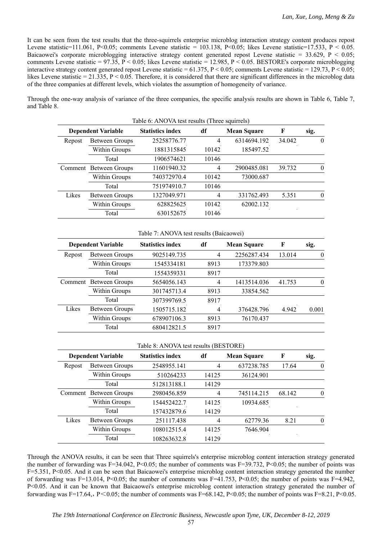It can be seen from the test results that the three-squirrels enterprise microblog interaction strategy content produces repost Levene statistic=111.061, P<0.05; comments Levene statistic = 103.138, P<0.05; likes Levene statistic=17.533, P < 0.05. Baicaowei's corporate microblogging interactive strategy content generated repost Levene statistic = 33.629, P < 0.05; comments Levene statistic =  $97.35$ , P < 0.05; likes Levene statistic = 12.985, P < 0.05. BESTORE's corporate microblogging interactive strategy content generated repost Levene statistic =  $61.375$ , P < 0.05; comments Levene statistic =  $129.73$ , P < 0.05; likes Levene statistic  $= 21.335$ ,  $P \le 0.05$ . Therefore, it is considered that there are significant differences in the microblog data of the three companies at different levels, which violates the assumption of homogeneity of variance.

Through the one-way analysis of variance of the three companies, the specific analysis results are shown in Table 6, Table 7, and Table 8.

| Table 6: ANOVA test results (Three squirrels) |                        |                         |                |                    |        |      |  |  |
|-----------------------------------------------|------------------------|-------------------------|----------------|--------------------|--------|------|--|--|
| <b>Dependent Variable</b>                     |                        | <b>Statistics index</b> | df             | <b>Mean Square</b> | F      | sig. |  |  |
| Repost                                        | Between Groups         | 25258776.77             | 4              | 6314694.192        | 34.042 |      |  |  |
|                                               | Within Groups          | 1881315845              | 10142          | 185497.52          |        |      |  |  |
|                                               | Total                  | 1906574621              | 10146          |                    |        |      |  |  |
|                                               | Comment Between Groups | 11601940.32             | $\overline{4}$ | 2900485.081        | 39.732 |      |  |  |
|                                               | Within Groups          | 740372970.4             | 10142          | 73000.687          |        |      |  |  |
|                                               | Total                  | 751974910.7             | 10146          |                    |        |      |  |  |
| Likes                                         | Between Groups         | 1327049.971             | 4              | 331762.493         | 5.351  | 0    |  |  |
|                                               | Within Groups          | 628825625               | 10142          | 62002.132          |        |      |  |  |
|                                               | Total                  | 630152675               | 10146          |                    |        |      |  |  |

#### Table 7: ANOVA test results (Baicaowei)

|         | <b>Dependent Variable</b> | <b>Statistics index</b> | df             | <b>Mean Square</b> | F      | sig.     |
|---------|---------------------------|-------------------------|----------------|--------------------|--------|----------|
| Repost  | Between Groups            | 9025149.735             | 4              | 2256287.434        | 13.014 | 0        |
|         | Within Groups             | 1545334181              | 8913           | 173379.803         |        |          |
|         | Total                     | 1554359331              | 8917           |                    |        |          |
| Comment | Between Groups            | 5654056.143             | $\overline{4}$ | 1413514.036        | 41.753 | $\Omega$ |
|         | Within Groups             | 301745713.4             | 8913           | 33854.562          |        |          |
|         | Total                     | 307399769.5             | 8917           |                    |        |          |
| Likes   | Between Groups            | 1505715.182             | $\overline{4}$ | 376428.796         | 4.942  | 0.001    |
|         | Within Groups             | 678907106.3             | 8913           | 76170.437          |        |          |
|         | Total                     | 680412821.5             | 8917           |                    |        |          |

#### Table 8: ANOVA test results (BESTORE)

|         | <b>Dependent Variable</b> | <b>Statistics index</b> | df    | <b>Mean Square</b> | F      | sig.     |
|---------|---------------------------|-------------------------|-------|--------------------|--------|----------|
| Repost  | Between Groups            | 2548955.141             | 4     | 637238.785         | 17.64  |          |
|         | Within Groups             | 510264233               | 14125 | 36124.901          |        |          |
|         | Total                     | 512813188.1             | 14129 |                    |        |          |
| Comment | Between Groups            | 2980456.859             | 4     | 745114.215         | 68.142 |          |
|         | Within Groups             | 154452422.7             | 14125 | 10934.685          |        |          |
|         | Total                     | 157432879.6             | 14129 |                    |        |          |
| Likes   | Between Groups            | 251117.438              | 4     | 62779.36           | 8.21   | $\theta$ |
|         | Within Groups             | 108012515.4             | 14125 | 7646.904           |        |          |
|         | Total                     | 108263632.8             | 14129 |                    |        |          |

Through the ANOVA results, it can be seen that Three squirrels's enterprise microblog content interaction strategy generated the number of forwarding was F=34.042, P<0.05; the number of comments was F=39.732, P<0.05; the number of points was F=5.351, P<0.05. And it can be seen that Baicaowei's enterprise microblog content interaction strategy generated the number of forwarding was F=13.014, P<0.05; the number of comments was F=41.753, P<0.05; the number of points was F=4.942, P<0.05. And it can be known that Baicaowei's enterprise microblog content interaction strategy generated the number of forwarding was F=17.64,, P<0.05; the number of comments was F=68.142, P<0.05; the number of points was F=8.21, P<0.05.

57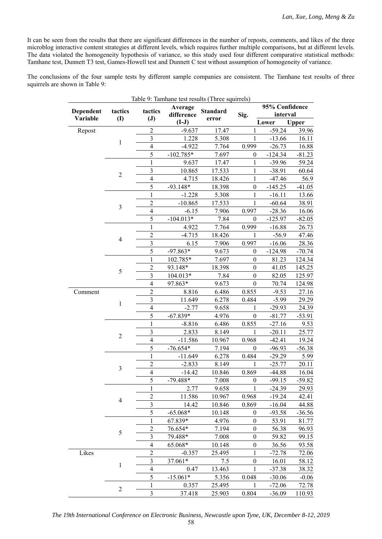It can be seen from the results that there are significant differences in the number of reposts, comments, and likes of the three microblog interactive content strategies at different levels, which requires further multiple comparisons, but at different levels. The data violated the homogeneity hypothesis of variance, so this study used four different comparative statistical methods: Tamhane test, Dunnett T3 test, Games-Howell test and Dunnett C test without assumption of homogeneity of variance.

The conclusions of the four sample tests by different sample companies are consistent. The Tamhane test results of three squirrels are shown in Table 9:

| Dependent | tactics        | tactics                 | Average     | <b>Standard</b> |                  | 95% Confidence |          |
|-----------|----------------|-------------------------|-------------|-----------------|------------------|----------------|----------|
| Variable  | (I)            | $(\mathbf{J})$          | difference  | error           | Sig.             | interval       |          |
|           |                |                         | $(I-J)$     |                 |                  | Lower          | Upper    |
| Repost    |                | $\overline{c}$          | $-9.637$    | 17.47           | 1                | $-59.24$       | 39.96    |
|           | $\mathbf{1}$   | $\overline{3}$          | 1.228       | 5.308           | $\mathbf{1}$     | $-13.66$       | 16.11    |
|           |                | $\overline{4}$          | $-4.922$    | 7.764           | 0.999            | $-26.73$       | 16.88    |
|           |                | 5                       | $-102.785*$ | 7.697           | $\boldsymbol{0}$ | $-124.34$      | $-81.23$ |
|           |                | 1                       | 9.637       | 17.47           | 1                | $-39.96$       | 59.24    |
|           | $\overline{2}$ | 3                       | 10.865      | 17.533          | 1                | $-38.91$       | 60.64    |
|           |                | $\overline{4}$          | 4.715       | 18.426          | 1                | $-47.46$       | 56.9     |
|           |                | 5                       | $-93.148*$  | 18.398          | $\boldsymbol{0}$ | $-145.25$      | $-41.05$ |
|           |                | 1                       | $-1.228$    | 5.308           | 1                | $-16.11$       | 13.66    |
|           | $\mathfrak{Z}$ | $\overline{2}$          | $-10.865$   | 17.533          | 1                | $-60.64$       | 38.91    |
|           |                | $\overline{4}$          | $-6.15$     | 7.906           | 0.997            | $-28.36$       | 16.06    |
|           |                | 5                       | $-104.013*$ | 7.84            | $\theta$         | $-125.97$      | $-82.05$ |
|           |                | $\mathbf{1}$            | 4.922       | 7.764           | 0.999            | $-16.88$       | 26.73    |
|           | $\overline{4}$ | $\overline{2}$          | $-4.715$    | 18.426          | 1                | $-56.9$        | 47.46    |
|           |                | $\overline{\mathbf{3}}$ | 6.15        | 7.906           | 0.997            | $-16.06$       | 28.36    |
|           |                | 5                       | $-97.863*$  | 9.673           | $\mathbf{0}$     | $-124.98$      | $-70.74$ |
|           |                | $\mathbf{1}$            | 102.785*    | 7.697           | $\boldsymbol{0}$ | 81.23          | 124.34   |
|           |                | $\overline{2}$          | 93.148*     | 18.398          | $\boldsymbol{0}$ | 41.05          | 145.25   |
|           | 5              | $\overline{\mathbf{3}}$ | 104.013*    | 7.84            | $\boldsymbol{0}$ | 82.05          | 125.97   |
|           |                | $\overline{4}$          | 97.863*     | 9.673           | $\boldsymbol{0}$ | 70.74          | 124.98   |
| Comment   |                | $\overline{2}$          | 8.816       | 6.486           | 0.855            | $-9.53$        | 27.16    |
|           |                | $\overline{\mathbf{3}}$ | 11.649      | 6.278           | 0.484            | $-5.99$        | 29.29    |
|           | $\mathbf{1}$   | $\overline{4}$          | $-2.77$     | 9.658           | 1                | $-29.93$       | 24.39    |
|           |                | 5                       | $-67.839*$  | 4.976           | $\mathbf{0}$     | $-81.77$       | $-53.91$ |
|           |                | 1                       | $-8.816$    | 6.486           | 0.855            | $-27.16$       | 9.53     |
|           |                | 3                       | 2.833       | 8.149           | 1                | $-20.11$       | 25.77    |
|           | $\overline{c}$ | $\overline{4}$          | $-11.586$   | 10.967          | 0.968            | $-42.41$       | 19.24    |
|           |                | 5                       | $-76.654*$  | 7.194           | $\boldsymbol{0}$ | $-96.93$       | $-56.38$ |
|           |                | 1                       | $-11.649$   | 6.278           | 0.484            | $-29.29$       | 5.99     |
|           |                | $\overline{2}$          | $-2.833$    | 8.149           | 1                | $-25.77$       | 20.11    |
|           | $\mathfrak{Z}$ | $\overline{4}$          | $-14.42$    | 10.846          | 0.869            | $-44.88$       | 16.04    |
|           |                | 5                       | $-79.488*$  | 7.008           | $\boldsymbol{0}$ | $-99.15$       | $-59.82$ |
|           |                | 1                       | 2.77        | 9.658           | 1                | $-24.39$       | 29.93    |
|           |                | $\overline{2}$          | 11.586      | 10.967          | 0.968            | $-19.24$       | 42.41    |
|           | $\overline{4}$ | 3                       | 14.42       | 10.846          | 0.869            | $-16.04$       | 44.88    |
|           |                | 5                       | $-65.068*$  | 10.148          | $\boldsymbol{0}$ | $-93.58$       | $-36.56$ |
|           |                | $\mathbf{1}$            | 67.839*     | 4.976           | $\boldsymbol{0}$ | 53.91          | 81.77    |
|           |                | $\overline{2}$          | 76.654*     | 7.194           | $\boldsymbol{0}$ | 56.38          | 96.93    |
|           | $\sqrt{5}$     | 3                       | 79.488*     | 7.008           | $\boldsymbol{0}$ | 59.82          | 99.15    |
|           |                | $\overline{4}$          | 65.068*     | 10.148          | $\boldsymbol{0}$ | 36.56          | 93.58    |
| Likes     |                | $\overline{c}$          | $-0.357$    | 25.495          | 1                | $-72.78$       | 72.06    |
|           |                | $\mathfrak{Z}$          | 37.061*     | 7.5             | $\boldsymbol{0}$ | 16.01          | 58.12    |
|           | $\mathbf{1}$   | $\overline{4}$          | 0.47        | 13.463          | 1                | $-37.38$       | 38.32    |
|           |                | 5                       | $-15.061*$  | 5.356           | 0.048            | $-30.06$       | $-0.06$  |
|           |                | 1                       | 0.357       | 25.495          | 1                | $-72.06$       | 72.78    |
|           | $\overline{2}$ | 3                       | 37.418      | 25.903          | 0.804            | $-36.09$       | 110.93   |

*The 19th International Conference on Electronic Business, Newcastle upon Tyne, UK, December 8-12, 2019*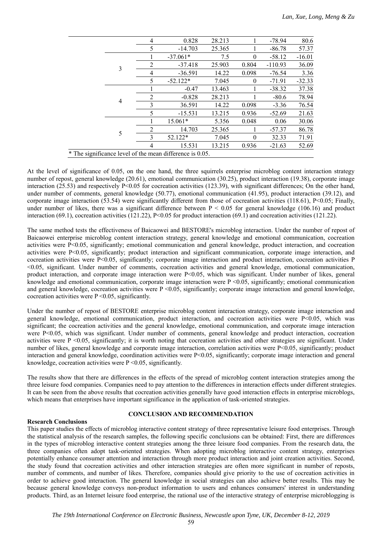|  |   | 4              | 0.828                                                    | 28.213 |          | $-78.94$  | 80.6     |
|--|---|----------------|----------------------------------------------------------|--------|----------|-----------|----------|
|  |   | 5              | $-14.703$                                                | 25.365 |          | $-86.78$  | 57.37    |
|  |   |                | $-37.061*$                                               | 7.5    | $\theta$ | $-58.12$  | $-16.01$ |
|  | 3 | $\overline{2}$ | $-37.418$                                                | 25.903 | 0.804    | $-110.93$ | 36.09    |
|  |   | 4              | $-36.591$                                                | 14.22  | 0.098    | $-76.54$  | 3.36     |
|  |   | 5              | $-52.122*$                                               | 7.045  | $\theta$ | $-71.91$  | $-32.33$ |
|  |   |                | $-0.47$                                                  | 13.463 |          | $-38.32$  | 37.38    |
|  |   | 2              | $-0.828$                                                 | 28.213 |          | $-80.6$   | 78.94    |
|  | 4 | 3              | 36.591                                                   | 14.22  | 0.098    | $-3.36$   | 76.54    |
|  |   | 5              | $-15.531$                                                | 13.215 | 0.936    | $-52.69$  | 21.63    |
|  |   |                | 15.061*                                                  | 5.356  | 0.048    | 0.06      | 30.06    |
|  | 5 | $\mathfrak{D}$ | 14.703                                                   | 25.365 |          | $-57.37$  | 86.78    |
|  |   | 3              | 52.122*                                                  | 7.045  | $\Omega$ | 32.33     | 71.91    |
|  |   | 4              | 15.531                                                   | 13.215 | 0.936    | $-21.63$  | 52.69    |
|  |   |                | * The significance level of the mean difference is 0.05. |        |          |           |          |
|  |   |                |                                                          |        |          |           |          |

At the level of significance of 0.05, on the one hand, the three squirrels enterprise microblog content interaction strategy number of repost, general knowledge (20.61), emotional communication (30.25), product interaction (19.38), corporate image interaction (25.53) and respectively P<0.05 for cocreation activities (123.39), with significant differences; On the other hand, under number of comments, general knowledge (50.77), emotional communication (41.95), product interaction (39.12), and corporate image interaction  $(53.54)$  were significantly different from those of cocreation activities  $(118.61)$ , P<0.05; Finally, under number of likes, there was a significant difference between  $P < 0.05$  for general knowledge (106.16) and product interaction (69.1), cocreation activities (121.22),  $P<0.05$  for product interaction (69.1) and cocreation activities (121.22).

The same method tests the effectiveness of Baicaowei and BESTORE's microblog interaction. Under the number of repost of Baicaowei enterprise microblog content interaction strategy, general knowledge and emotional communication, cocreation activities were P<0.05, significantly; emotional communication and general knowledge, product interaction, and cocreation activities were P<0.05, significantly; product interaction and significant communication, corporate image interaction, and cocreation activities were P<0.05, significantly; corporate image interaction and product interaction, cocreation activities P <0.05, significant. Under number of comments, cocreation activities and general knowledge, emotional communication, product interaction, and corporate image interaction were P<0.05, which was significant. Under number of likes, general knowledge and emotional communication, corporate image interaction were  $P \le 0.05$ , significantly; emotional communication and general knowledge, cocreation activities were P <0.05, significantly; corporate image interaction and general knowledge, cocreation activities were  $P \le 0.05$ , significantly.

Under the number of repost of BESTORE enterprise microblog content interaction strategy, corporate image interaction and general knowledge, emotional communication, product interaction, and cocreation activities were P<0.05, which was significant; the cocreation activities and the general knowledge, emotional communication, and corporate image interaction were P<0.05, which was significant. Under number of comments, general knowledge and product interaction, cocreation activities were P <0.05, significantly; it is worth noting that cocreation activities and other strategies are significant. Under number of likes, general knowledge and corporate image interaction, correlation activities were P<0.05, significantly; product interaction and general knowledge, coordination activities were P<0.05, significantly; corporate image interaction and general knowledge, cocreation activities were  $P \le 0.05$ , significantly.

The results show that there are differences in the effects of the spread of microblog content interaction strategies among the three leisure food companies. Companies need to pay attention to the differences in interaction effects under different strategies. It can be seen from the above results that cocreation activities generally have good interaction effects in enterprise microblogs, which means that enterprises have important significance in the application of task-oriented strategies.

# **Research Conclusions**

# **CONCLUSION AND RECOMMENDATION**

This paper studies the effects of microblog interactive content strategy of three representative leisure food enterprises. Through the statistical analysis of the research samples, the following specific conclusions can be obtained: First, there are differences in the types of microblog interactive content strategies among the three leisure food companies. From the research data, the three companies often adopt task-oriented strategies. When adopting microblog interactive content strategy, enterprises potentially enhance consumer attention and interaction through more product interaction and joint creation activities. Second, the study found that cocreation activities and other interaction strategies are often more significant in number of reposts, number of comments, and number of likes. Therefore, companies should give priority to the use of cocreation activities in order to achieve good interaction. The general knowledge in social strategies can also achieve better results. This may be because general knowledge conveys non-product information to users and enhances consumers' interest in understanding products. Third, as an Internet leisure food enterprise, the rational use of the interactive strategy of enterprise microblogging is